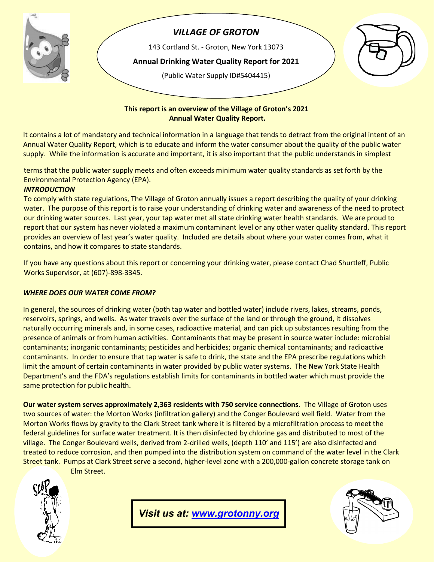

# *VILLAGE OF GROTON*

143 Cortland St. - Groton, New York 13073

**Annual Drinking Water Quality Report for 2021**

(Public Water Supply ID#5404415)



#### **This report is an overview of the Village of Groton's 2021 Annual Water Quality Report.**

It contains a lot of mandatory and technical information in a language that tends to detract from the original intent of an Annual Water Quality Report, which is to educate and inform the water consumer about the quality of the public water supply. While the information is accurate and important, it is also important that the public understands in simplest

terms that the public water supply meets and often exceeds minimum water quality standards as set forth by the Environmental Protection Agency (EPA).

### *INTRODUCTION*

To comply with state regulations, The Village of Groton annually issues a report describing the quality of your drinking water. The purpose of this report is to raise your understanding of drinking water and awareness of the need to protect our drinking water sources. Last year, your tap water met all state drinking water health standards. We are proud to report that our system has never violated a maximum contaminant level or any other water quality standard. This report provides an overview of last year's water quality. Included are details about where your water comes from, what it contains, and how it compares to state standards.

If you have any questions about this report or concerning your drinking water, please contact Chad Shurtleff, Public Works Supervisor, at (607)-898-3345.

### *WHERE DOES OUR WATER COME FROM?*

 In general, the sources of drinking water (both tap water and bottled water) include rivers, lakes, streams, ponds, reservoirs, springs, and wells. As water travels over the surface of the land or through the ground, it dissolves naturally occurring minerals and, in some cases, radioactive material, and can pick up substances resulting from the presence of animals or from human activities. Contaminants that may be present in source water include: microbial contaminants; inorganic contaminants; pesticides and herbicides; organic chemical contaminants; and radioactive contaminants. In order to ensure that tap water is safe to drink, the state and the EPA prescribe regulations which limit the amount of certain contaminants in water provided by public water systems. The New York State Health Department's and the FDA's regulations establish limits for contaminants in bottled water which must provide the same protection for public health.

**Our water system serves approximately 2,363 residents with 750 service connections.** The Village of Groton uses two sources of water: the Morton Works (infiltration gallery) and the Conger Boulevard well field. Water from the Morton Works flows by gravity to the Clark Street tank where it is filtered by a microfiltration process to meet the federal guidelines for surface water treatment. It is then disinfected by chlorine gas and distributed to most of the village. The Conger Boulevard wells, derived from 2-drilled wells, (depth 110' and 115') are also disinfected and treated to reduce corrosion, and then pumped into the distribution system on command of the water level in the Clark Street tank. Pumps at Clark Street serve a second, higher-level zone with a 200,000-gallon concrete storage tank on Elm Street.

*Visit us at: [www.grotonny.org](http://www.grotonny.org/)*

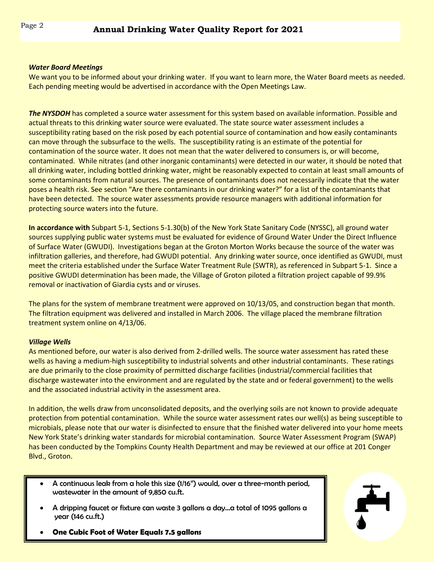#### $\overline{a}$ *Water Board Meetings*

We want you to be informed about your drinking water. If you want to learn more, the Water Board meets as needed. Each pending meeting would be advertised in accordance with the Open Meetings Law.

*The NYSDOH* has completed a source water assessment for this system based on available information. Possible and actual threats to this drinking water source were evaluated. The state source water assessment includes a susceptibility rating based on the risk posed by each potential source of contamination and how easily contaminants can move through the subsurface to the wells. The susceptibility rating is an estimate of the potential for contamination of the source water. It does not mean that the water delivered to consumers is, or will become, contaminated. While nitrates (and other inorganic contaminants) were detected in our water, it should be noted that all drinking water, including bottled drinking water, might be reasonably expected to contain at least small amounts of some contaminants from natural sources. The presence of contaminants does not necessarily indicate that the water poses a health risk. See section "Are there contaminants in our drinking water?" for a list of the contaminants that have been detected. The source water assessments provide resource managers with additional information for protecting source waters into the future.

**In accordance with** Subpart 5-1, Sections 5-1.30(b) of the New York State Sanitary Code (NYSSC), all ground water sources supplying public water systems must be evaluated for evidence of Ground Water Under the Direct Influence of Surface Water (GWUDI). Investigations began at the Groton Morton Works because the source of the water was infiltration galleries, and therefore, had GWUDI potential. Any drinking water source, once identified as GWUDI, must meet the criteria established under the Surface Water Treatment Rule (SWTR), as referenced in Subpart 5-1. Since a positive GWUDI determination has been made, the Village of Groton piloted a filtration project capable of 99.9% removal or inactivation of Giardia cysts and or viruses.

The plans for the system of membrane treatment were approved on 10/13/05, and construction began that month. The filtration equipment was delivered and installed in March 2006. The village placed the membrane filtration treatment system online on 4/13/06.

#### *Village Wells*

As mentioned before, our water is also derived from 2-drilled wells. The source water assessment has rated these wells as having a medium-high susceptibility to industrial solvents and other industrial contaminants. These ratings are due primarily to the close proximity of permitted discharge facilities (industrial/commercial facilities that discharge wastewater into the environment and are regulated by the state and or federal government) to the wells and the associated industrial activity in the assessment area.

In addition, the wells draw from unconsolidated deposits, and the overlying soils are not known to provide adequate protection from potential contamination. While the source water assessment rates our well(s) as being susceptible to microbials, please note that our water is disinfected to ensure that the finished water delivered into your home meets New York State's drinking water standards for microbial contamination. Source Water Assessment Program (SWAP) has been conducted by the Tompkins County Health Department and may be reviewed at our office at 201 Conger Blvd., Groton.

- A continuous leak from a hole this size (1/16") would, over a three-month period, wastewater in the amount of 9,850 cu.ft.
- A dripping faucet or fixture can waste 3 gallons a day…a total of 1095 gallons a year (146 cu.ft.)



• **One Cubic Foot of Water Equals 7.5 gallons**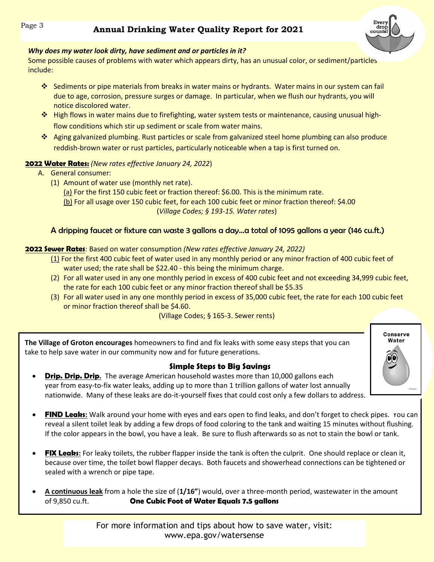

### *Why does my water look dirty, have sediment and or particles in it?*

 Some possible causes of problems with water which appears dirty, has an unusual color, or sediment/particles include:

- Sediments or pipe materials from breaks in water mains or hydrants. Water mains in our system can fail due to age, corrosion, pressure surges or damage. In particular, when we flush our hydrants, you will notice discolored water.
- \* High flows in water mains due to firefighting, water system tests or maintenance, causing unusual highflow conditions which stir up sediment or scale from water mains.
- Aging galvanized plumbing. Rust particles or scale from galvanized steel home plumbing can also produce reddish-brown water or rust particles, particularly noticeable when a tap is first turned on.

## **2022 Water Rates:** *(New rates effective January 24, 2022*)

- A. General consumer:
	- (1) Amount of water use (monthly net rate).
		- (a) For the first 150 cubic feet or fraction thereof: \$6.00. This is the minimum rate.
		- (b) For all usage over 150 cubic feet, for each 100 cubic feet or minor fraction thereof: \$4.00 (*Village Codes; § 193-15. Water rates*)

## A dripping faucet or fixture can waste 3 gallons a day…a total of 1095 gallons a year (146 cu.ft.)

## **2022 Sewer Rates**: Based on water consumption *(New rates effective January 24, 2022)*

- (1) For the first 400 cubic feet of water used in any monthly period or any minor fraction of 400 cubic feet of water used; the rate shall be \$22.40 - this being the minimum charge.
- (2) For all water used in any one monthly period in excess of 400 cubic feet and not exceeding 34,999 cubic feet, the rate for each 100 cubic feet or any minor fraction thereof shall be \$5.35
- (3) For all water used in any one monthly period in excess of 35,000 cubic feet, the rate for each 100 cubic feet or minor fraction thereof shall be \$4.60.

(Village Codes; § 165-3. Sewer rents)

 **The Village of Groton encourages** homeowners to find and fix leaks with some easy steps that you can take to help save water in our community now and for future generations.

## **Simple Steps to Big Savings**

- **Drip. Drip. Drip.** The average American household wastes more than 10,000 gallons each year from easy-to-fix water leaks, adding up to more than 1 trillion gallons of water lost annually nationwide. Many of these leaks are do-it-yourself fixes that could cost only a few dollars to address.
- **FIND Leaks:** Walk around your home with eyes and ears open to find leaks, and don't forget to check pipes. You can reveal a silent toilet leak by adding a few drops of food coloring to the tank and waiting 15 minutes without flushing. If the color appears in the bowl, you have a leak. Be sure to flush afterwards so as not to stain the bowl or tank.
- **FIX Leaks:** For leaky toilets, the rubber flapper inside the tank is often the culprit. One should replace or clean it, because over time, the toilet bowl flapper decays. Both faucets and showerhead connections can be tightened or sealed with a wrench or pipe tape.
- **A continuous leak** from a hole the size of (**1/16"**) would, over a three-month period, wastewater in the amount of 9,850 cu.ft. **One Cubic Foot of Water Equals 7.5 gallons**

For more information and tips about how to save water, visit: www.epa.gov/watersense

Conserve Water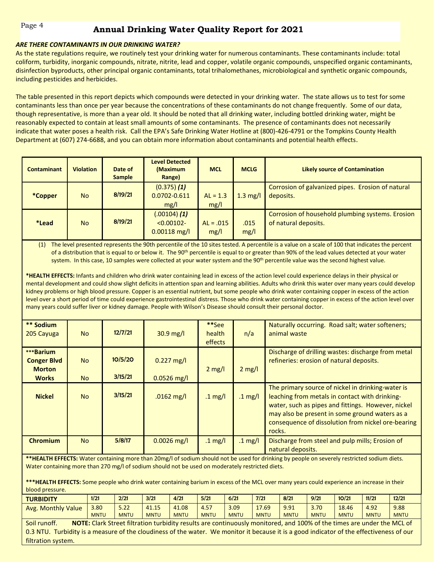# Page 4 **Annual Drinking Water Quality Report for 2021**

#### *ARE THERE CONTAMINANTS IN OUR DRINKING WATER?*

 coliform, turbidity, inorganic compounds, nitrate, nitrite, lead and copper, volatile organic compounds, unspecified organic contaminants, As the state regulations require, we routinely test your drinking water for numerous contaminants. These contaminants include: total disinfection byproducts, other principal organic contaminants, total trihalomethanes, microbiological and synthetic organic compounds, including pesticides and herbicides.

The table presented in this report depicts which compounds were detected in your drinking water. The state allows us to test for some contaminants less than once per year because the concentrations of these contaminants do not change frequently. Some of our data, though representative, is more than a year old. It should be noted that all drinking water, including bottled drinking water, might be reasonably expected to contain at least small amounts of some contaminants. The presence of contaminants does not necessarily indicate that water poses a health risk. Call the EPA's Safe Drinking Water Hotline at (800)-426-4791 or the Tompkins County Health Department at (607) 274-6688, and you can obtain more information about contaminants and potential health effects.

| <b>Contaminant</b> | <b>Violation</b> | Date of<br><b>Sample</b> | <b>Level Detected</b><br>(Maximum<br>Range)         | <b>MCL</b>          | <b>MCLG</b>  | <b>Likely source of Contamination</b>                                    |
|--------------------|------------------|--------------------------|-----------------------------------------------------|---------------------|--------------|--------------------------------------------------------------------------|
| *Copper            | No.              | 8/19/21                  | $(0.375)$ $(1)$<br>0.0702-0.611<br>mg/l             | $AL = 1.3$<br>mg/l  | $1.3$ mg/l   | Corrosion of galvanized pipes. Erosion of natural<br>deposits.           |
| <i>*</i> Lead      | No.              | 8/19/21                  | $(.00104)$ $(1)$<br>$< 0.00102 -$<br>$0.00118$ mg/l | $AL = .015$<br>mg/l | .015<br>mg/l | Corrosion of household plumbing systems. Erosion<br>of natural deposits. |

(1) The level presented represents the 90th percentile of the 10 sites tested. A percentile is a value on a scale of 100 that indicates the percent of a distribution that is equal to or below it. The 90<sup>th</sup> percentile is equal to or greater than 90% of the lead values detected at your water system. In this case, 10 samples were collected at your water system and the 90<sup>th</sup> percentile value was the second highest value.

**\*HEALTH EFFECTS:** Infants and children who drink water containing lead in excess of the action level could experience delays in their physical or mental development and could show slight deficits in attention span and learning abilities. Adults who drink this water over many years could develop kidney problems or high blood pressure. Copper is an essential nutrient, but some people who drink water containing copper in excess of the action level over a short period of time could experience gastrointestinal distress. Those who drink water containing copper in excess of the action level over many years could suffer liver or kidney damage. People with Wilson's Disease should consult their personal doctor.

| ** Sodium<br>205 Cayuga                                          | <b>No</b>              | 12/7/21            | $30.9 \text{ mg/l}$           | **See<br>health<br>effects | n/a               | Naturally occurring. Road salt; water softeners;<br>animal waste                                                                                                                                                                                                            |
|------------------------------------------------------------------|------------------------|--------------------|-------------------------------|----------------------------|-------------------|-----------------------------------------------------------------------------------------------------------------------------------------------------------------------------------------------------------------------------------------------------------------------------|
| ***Barium<br><b>Conger Blvd</b><br><b>Morton</b><br><b>Works</b> | <b>No</b><br><b>No</b> | 10/5/20<br>3/15/21 | $0.227$ mg/l<br>$0.0526$ mg/l | $2 \text{ mg/l}$           | $2 \text{ mg/l}$  | Discharge of drilling wastes: discharge from metal<br>refineries: erosion of natural deposits.                                                                                                                                                                              |
| <b>Nickel</b>                                                    | <b>No</b>              | 3/15/21            | $.0162$ mg/l                  | $.1 \text{ mg/l}$          | $.1 \text{ mg/l}$ | The primary source of nickel in drinking-water is<br>leaching from metals in contact with drinking-<br>water, such as pipes and fittings. However, nickel<br>may also be present in some ground waters as a<br>consequence of dissolution from nickel ore-bearing<br>rocks. |
| <b>Chromium</b>                                                  | <b>No</b>              | 5/8/17             | $0.0026$ mg/l                 | .1 mg/l                    | .1 mg/l           | Discharge from steel and pulp mills; Erosion of<br>natural deposits.                                                                                                                                                                                                        |

**\*\*HEALTH EFFECTS:** Water containing more than 20mg/l of sodium should not be used for drinking by people on severely restricted sodium diets. Water containing more than 270 mg/l of sodium should not be used on moderately restricted diets.

**\*\*\*HEALTH EFFECTS:** Some people who drink water containing barium in excess of the MCL over many years could experience an increase in their blood pressure.

| <b>TURBIDITY</b>          | 1/21        | 2/21        | 3/21        | 4/21        | 5/21        | 6/21        | 7/2         | 8/21        | 9/21        | 10/21       | 11/21       | 12/21       |
|---------------------------|-------------|-------------|-------------|-------------|-------------|-------------|-------------|-------------|-------------|-------------|-------------|-------------|
| <b>Avg. Monthly Value</b> | 3.80        | 5.22        | 41.15       | 41.08       | 4.57        | 3.09        | 17.69       | 9.91        | 3.70        | 18.46       | 4.92        | 9.88        |
|                           | <b>MNTU</b> | <b>MNTU</b> | <b>MNTU</b> | <b>MNTU</b> | <b>MNTU</b> | <b>MNTU</b> | <b>MNTU</b> | <b>MNTU</b> | <b>MNTU</b> | <b>MNTU</b> | <b>MNTU</b> | <b>MNTU</b> |

Soil runoff. **NOTE:** Clark Street filtration turbidity results are continuously monitored, and 100% of the times are under the MCL of 0.3 NTU. Turbidity is a measure of the cloudiness of the water. We monitor it because it is a good indicator of the effectiveness of our filtration system.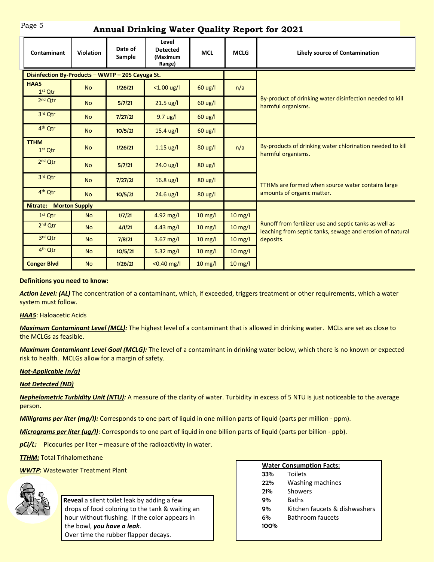# Page 5 **Annual Drinking Water Quality Report for 2021**

| Contaminant                                      | <b>Violation</b> | Date of<br>Sample        | Level<br><b>Detected</b><br>(Maximum<br>Range) | <b>MCL</b>        | <b>MCLG</b> | <b>Likely source of Contamination</b>                                                                               |  |  |
|--------------------------------------------------|------------------|--------------------------|------------------------------------------------|-------------------|-------------|---------------------------------------------------------------------------------------------------------------------|--|--|
| Disinfection By-Products - WWTP - 205 Cayuga St. |                  |                          |                                                |                   |             |                                                                                                                     |  |  |
| HAA5<br>$1st$ Qtr                                | <b>No</b>        | $< 1.00$ ug/l<br>1/26/21 |                                                | 60 ug/l           | n/a         |                                                                                                                     |  |  |
| $2nd$ Otr                                        | <b>No</b>        | 5/7/21                   | 21.5 ug/l                                      | $60 \text{ ug/l}$ |             | By-product of drinking water disinfection needed to kill<br>harmful organisms.                                      |  |  |
| 3rd Qtr                                          | <b>No</b>        | 7/27/21                  | $9.7 \text{ ug/l}$                             | 60 ug/l           |             |                                                                                                                     |  |  |
| 4 <sup>th</sup> Otr                              | <b>No</b>        | 10/5/21                  | $15.4$ ug/l                                    | 60 ug/l           |             |                                                                                                                     |  |  |
| <b>TTHM</b><br>$1st$ Qtr                         | <b>No</b>        | 1/26/21                  | $1.15 \text{ ug/l}$                            | $80 \text{ ug/l}$ | n/a         | By-products of drinking water chlorination needed to kill<br>harmful organisms.                                     |  |  |
| 2 <sup>nd</sup> Qtr                              | <b>No</b>        | 5/7/21                   | $24.0 \text{ ug/l}$                            | 80 ug/l           |             |                                                                                                                     |  |  |
| 3rd Qtr                                          | <b>No</b>        | 7/27/21                  | $16.8$ ug/l                                    | 80 ug/l           |             | TTHMs are formed when source water contains large                                                                   |  |  |
| 4 <sup>th</sup> Qtr                              | <b>No</b>        | 10/5/21                  | 24.6 ug/l                                      | 80 ug/l           |             | amounts of organic matter.                                                                                          |  |  |
| <b>Morton Supply</b><br>Nitrate:                 |                  |                          |                                                |                   |             |                                                                                                                     |  |  |
| $1st$ Qtr                                        | <b>No</b>        | 1/7/21                   | 4.92 mg/l                                      | 10 mg/l           | 10 mg/l     |                                                                                                                     |  |  |
| $2nd$ Otr                                        | <b>No</b>        | 4/1/21                   | 4.43 $mg/l$                                    | $10 \text{ mg/l}$ | 10 mg/l     | Runoff from fertilizer use and septic tanks as well as<br>leaching from septic tanks, sewage and erosion of natural |  |  |
| 3rd Qtr                                          | <b>No</b>        | 7/8/21                   | 3.67 mg/l                                      | $10 \text{ mg/l}$ | $10$ mg/l   | deposits.                                                                                                           |  |  |
| 4 <sup>th</sup> Qtr                              | <b>No</b>        | 10/5/21                  | $5.32$ mg/l                                    | $10$ mg/l         | $10$ mg/l   |                                                                                                                     |  |  |
| <b>Conger Blvd</b>                               | <b>No</b>        | 1/26/21                  | $< 0.40$ mg/l                                  | $10$ mg/l         | $10$ mg/l   |                                                                                                                     |  |  |

#### **Definitions you need to know:**

*Action Level: (AL)* The concentration of a contaminant, which, if exceeded, triggers treatment or other requirements, which a water system must follow.

*HAA5*: Haloacetic Acids

*Maximum Contaminant Level (MCL):* The highest level of a contaminant that is allowed in drinking water. MCLs are set as close to the MCLGs as feasible.

*Maximum Contaminant Level Goal (MCLG):* The level of a contaminant in drinking water below, which there is no known or expected risk to health. MCLGs allow for a margin of safety.

#### *Not-Applicable (n/a)*

*Not Detected (ND)*

*Nephelometric Turbidity Unit (NTU):* A measure of the clarity of water. Turbidity in excess of 5 NTU is just noticeable to the average person.

*Milligrams per liter (mg/l):* Corresponds to one part of liquid in one million parts of liquid (parts per million - ppm).

*Micrograms per liter (ug/l)*: Corresponds to one part of liquid in one billion parts of liquid (parts per billion - ppb).

**pCi/L:** Picocuries per liter – measure of the radioactivity in water.

**TTHM: Total Trihalomethane** 

*WWTP***:** Wastewater Treatment Plant



**Reveal** a silent toilet leak by adding a few drops of food coloring to the tank & waiting an hour without flushing. If the color appears in the bowl, *you have a leak*. Over time the rubber flapper decays.

|      | <b>Water Consumption Facts:</b> |  |  |  |  |
|------|---------------------------------|--|--|--|--|
| 33%  | <b>Toilets</b>                  |  |  |  |  |
| 22%  | Washing machines                |  |  |  |  |
| 21%  | Showers                         |  |  |  |  |
| 9%   | <b>Baths</b>                    |  |  |  |  |
| 9%   | Kitchen faucets & dishwashers   |  |  |  |  |
| 6%   | <b>Bathroom faucets</b>         |  |  |  |  |
| 100% |                                 |  |  |  |  |
|      |                                 |  |  |  |  |